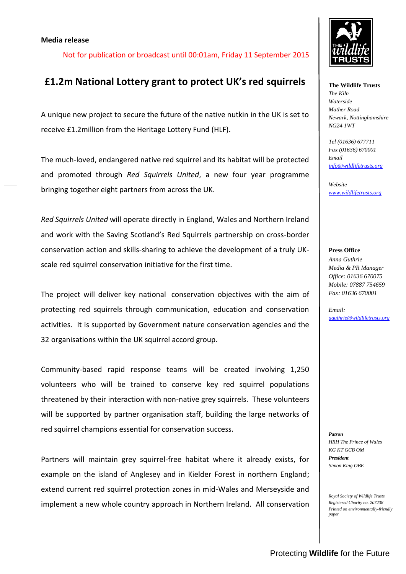## **Media release**

Not for publication or broadcast until 00:01am, Friday 11 September 2015

# **£1.2m National Lottery grant to protect UK's red squirrels**

A unique new project to secure the future of the native nutkin in the UK is set to receive £1.2million from the Heritage Lottery Fund (HLF).

The much-loved, endangered native red squirrel and its habitat will be protected and promoted through *Red Squirrels United*, a new four year programme bringing together eight partners from across the UK.

*Red Squirrels United* will operate directly in England, Wales and Northern Ireland and work with the Saving Scotland's Red Squirrels partnership on cross-border conservation action and skills-sharing to achieve the development of a truly UKscale red squirrel conservation initiative for the first time.

The project will deliver key national conservation objectives with the aim of protecting red squirrels through communication, education and conservation activities. It is supported by Government nature conservation agencies and the 32 organisations within the UK squirrel accord group.

Community-based rapid response teams will be created involving 1,250 volunteers who will be trained to conserve key red squirrel populations threatened by their interaction with non-native grey squirrels. These volunteers will be supported by partner organisation staff, building the large networks of red squirrel champions essential for conservation success.

Partners will maintain grey squirrel-free habitat where it already exists, for example on the island of Anglesey and in Kielder Forest in northern England; extend current red squirrel protection zones in mid-Wales and Merseyside and implement a new whole country approach in Northern Ireland. All conservation



**The Wildlife Trusts** *The Kiln Waterside Mather Road Newark, Nottinghamshire NG24 1WT*

*Tel (01636) 677711 Fax (01636) 670001 Email [info@wildlifetrusts.org](mailto:info@wildlifetrusts.org)*

*Website [www.wildlifetrusts.org](http://www.wildlifetrusts.org/)*

#### **Press Office**

*Anna Guthrie Media & PR Manager Office: 01636 670075 Mobile: 07887 754659 Fax: 01636 670001*

*Email: [aguthrie@wildlifetrusts.org](mailto:aguthrie@wildlifetrusts.org)*

*Patron HRH The Prince of Wales KG KT GCB OM President Simon King OBE*

*Royal Society of Wildlife Trusts Registered Charity no. 207238 Printed on environmentally-friendly paper*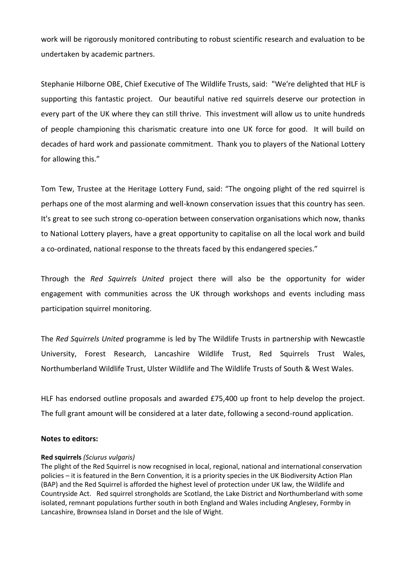work will be rigorously monitored contributing to robust scientific research and evaluation to be undertaken by academic partners.

Stephanie Hilborne OBE, Chief Executive of The Wildlife Trusts, said: "We're delighted that HLF is supporting this fantastic project. Our beautiful native red squirrels deserve our protection in every part of the UK where they can still thrive. This investment will allow us to unite hundreds of people championing this charismatic creature into one UK force for good. It will build on decades of hard work and passionate commitment. Thank you to players of the National Lottery for allowing this."

Tom Tew, Trustee at the Heritage Lottery Fund, said: "The ongoing plight of the red squirrel is perhaps one of the most alarming and well-known conservation issues that this country has seen. It's great to see such strong co-operation between conservation organisations which now, thanks to National Lottery players, have a great opportunity to capitalise on all the local work and build a co-ordinated, national response to the threats faced by this endangered species."

Through the *Red Squirrels United* project there will also be the opportunity for wider engagement with communities across the UK through workshops and events including mass participation squirrel monitoring.

The *Red Squirrels United* programme is led by The Wildlife Trusts in partnership with Newcastle University, Forest Research, Lancashire Wildlife Trust, Red Squirrels Trust Wales, Northumberland Wildlife Trust, Ulster Wildlife and The Wildlife Trusts of South & West Wales.

HLF has endorsed outline proposals and awarded £75,400 up front to help develop the project. The full grant amount will be considered at a later date, following a second-round application.

# **Notes to editors:**

## **Red squirrels** *(Sciurus vulgaris)*

The plight of the Red Squirrel is now recognised in local, regional, national and international conservation policies – it is featured in the Bern Convention, it is a priority species in the UK Biodiversity Action Plan (BAP) and the Red Squirrel is afforded the highest level of protection under UK law, the Wildlife and Countryside Act. Red squirrel strongholds are Scotland, the Lake District and Northumberland with some isolated, remnant populations further south in both England and Wales including Anglesey, Formby in Lancashire, Brownsea Island in Dorset and the Isle of Wight.